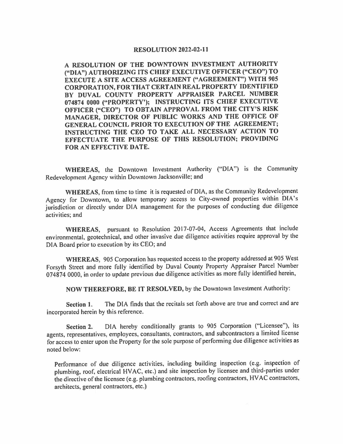## **RESOLUTION 2022-02-11**

**A RESOLUTION OF THE DOWNTOWN INVESTMENT AUTHORITY ("DIA") AUTHORIZING ITS CHIEF EXECUTIVE OFFICER ("CEO") TO EXECUTE A SITE ACCESS AGREEMENT ("AGREEMENT") WITH 905 CORPORATION, FOR THAT CERTAIN REAL PROPERTY IDENTIFIED BY DUVAL COUNTY PROPERTY APPRAISER PARCEL NUMBER 074874 0000 ("PROPERTY'); INSTRUCTING ITS CHIEF EXECUTIVE OFFICER ("CEO") TO OBTAIN APPROVAL FROM THE CITY'S RISK MANAGER, DIRECTOR OF PUBLIC WORKS AND THE OFFICE OF GENERAL COUNCIL PRIOR TO EXECUTION OF THE AGREEMENT; INSTRUCTING THE CEO TO TAKE ALL NECESSARY ACTION TO EFFECTUATE THE PURPOSE OF THIS RESOLUTION; PROVIDING FOR AN EFFECTIVE DATE.** 

WHEREAS, the Downtown Investment Authority ("DIA") is the Community Redevelopment Agency within Downtown Jacksonville; and

**WHEREAS,** from time to time it is requested of DIA, as the Community Redevelopment Agency for Downtown, to allow temporary access to City-owned properties within DIA's jurisdiction or directly under DIA management for the purposes of conducting due diligence activities; and

**WHEREAS,** pursuant to Resolution 2017-07-04, Access Agreements that include environmental, geotechnical, and other invasive due diligence activities require approval by the DIA Board prior to execution by its CEO; and

**WHEREAS,** 905 Corporation has requested access to the property addressed at 905 West Forsyth Street and more fully identified by Duval County Property Appraiser Parcel Number 074874 0000, in order to update previous due diligence activities as more fully identified herein,

**NOW THEREFORE, BE IT RESOLVED,** by the Downtown Investment Authority:

**Section 1.** The DIA finds that the recitals set forth above are true and correct and are incorporated herein by this reference.

**Section** 2. DIA hereby conditionally grants to 905 Corporation ("Licensee"), its agents, representatives, employees, consultants, contractors, and subcontractors a limited license for access to enter upon the Property for the sole purpose of perfonning due diligence activities as noted below:

Performance of due diligence activities, including building inspection (e.g. inspection of plumbing, roof, electrical HVAC, etc.) and site inspection by licensee and third-parties under the directive of the licensee (e.g. plumbing contractors, roofing contractors, HY AC contractors, architects, general contractors, etc.)